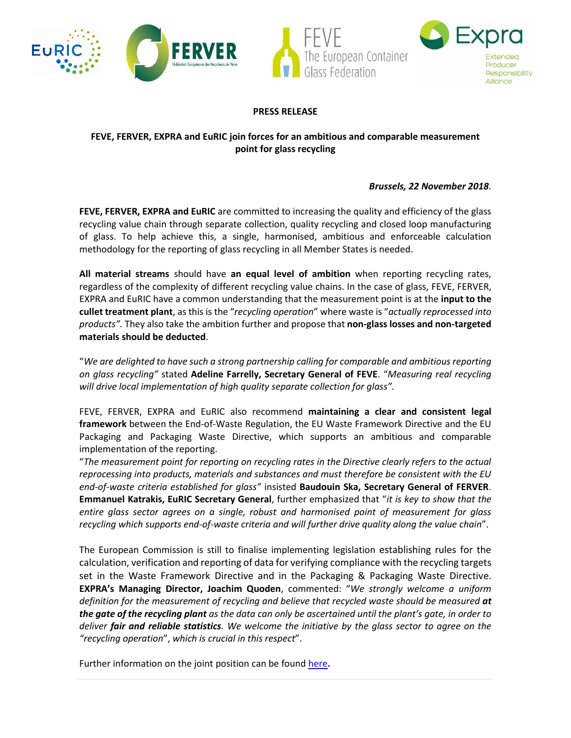



## **PRESS RELEASE**

# **FEVE, FERVER, EXPRA and EuRIC join forces for an ambitious and comparable measurement point for glass recycling**

## *Brussels, 22 November 2018*.

**FEVE, FERVER, EXPRA and EuRIC** are committed to increasing the quality and efficiency of the glass recycling value chain through separate collection, quality recycling and closed loop manufacturing of glass. To help achieve this, a single, harmonised, ambitious and enforceable calculation methodology for the reporting of glass recycling in all Member States is needed.

**All material streams** should have **an equal level of ambition** when reporting recycling rates, regardless of the complexity of different recycling value chains. In the case of glass, FEVE, FERVER, EXPRA and EuRIC have a common understanding that the measurement point is at the **input to the cullet treatment plant**, as this is the "*recycling operation*" where waste is "*actually reprocessed into products".* They also take the ambition further and propose that **non-glass losses and non-targeted materials should be deducted**.

"*We are delighted to have such a strong partnership calling for comparable and ambitious reporting on glass recycling"* stated **Adeline Farrelly, Secretary General of FEVE**. "*Measuring real recycling will drive local implementation of high quality separate collection for glass".*

FEVE, FERVER, EXPRA and EuRIC also recommend **maintaining a clear and consistent legal framework** between the End-of-Waste Regulation, the EU Waste Framework Directive and the EU Packaging and Packaging Waste Directive, which supports an ambitious and comparable implementation of the reporting.

"*The measurement point for reporting on recycling rates in the Directive clearly refers to the actual reprocessing into products, materials and substances and must therefore be consistent with the EU end-of-waste criteria established for glass"* insisted **Baudouin Ska, Secretary General of FERVER**. **Emmanuel Katrakis, EuRIC Secretary General**, further emphasized that "*it is key to show that the entire glass sector agrees on a single, robust and harmonised point of measurement for glass recycling which supports end-of-waste criteria and will further drive quality along the value chain*".

The European Commission is still to finalise implementing legislation establishing rules for the calculation, verification and reporting of data for verifying compliance with the recycling targets set in the Waste Framework Directive and in the Packaging & Packaging Waste Directive. **EXPRA's Managing Director, Joachim Quoden**, commented: "*We strongly welcome a uniform*  definition for the measurement of recycling and believe that recycled waste should be measured at *the gate of the recycling plant as the data can only be ascertained until the plant's gate, in order to deliver fair and reliable statistics. We welcome the initiative by the glass sector to agree on the "recycling operation*", *which is crucial in this respect*".

Further information on the joint position can be foun[d here](https://feve.org/quality-quantity-reporting-real-recycling/).